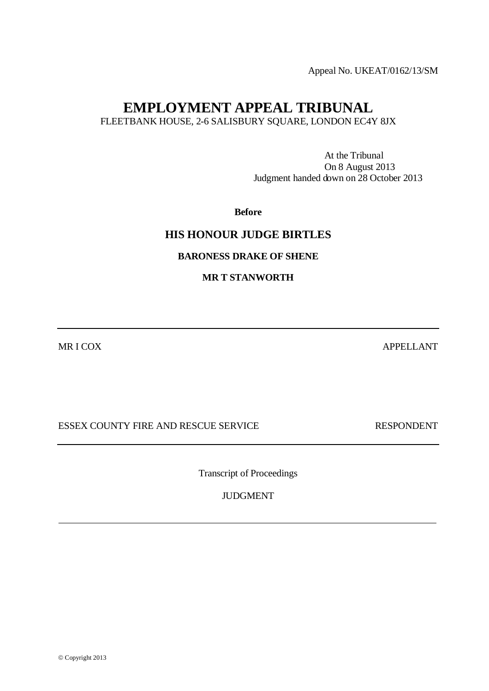Appeal No. UKEAT/0162/13/SM

# **EMPLOYMENT APPEAL TRIBUNAL**

FLEETBANK HOUSE, 2-6 SALISBURY SQUARE, LONDON EC4Y 8JX

At the Tribunal On 8 August 2013 Judgment handed down on 28 October 2013

**Before**

## **HIS HONOUR JUDGE BIRTLES**

### **BARONESS DRAKE OF SHENE**

### **MR T STANWORTH**

MR I COX APPELLANT

ESSEX COUNTY FIRE AND RESCUE SERVICE RESPONDENT

Transcript of Proceedings

JUDGMENT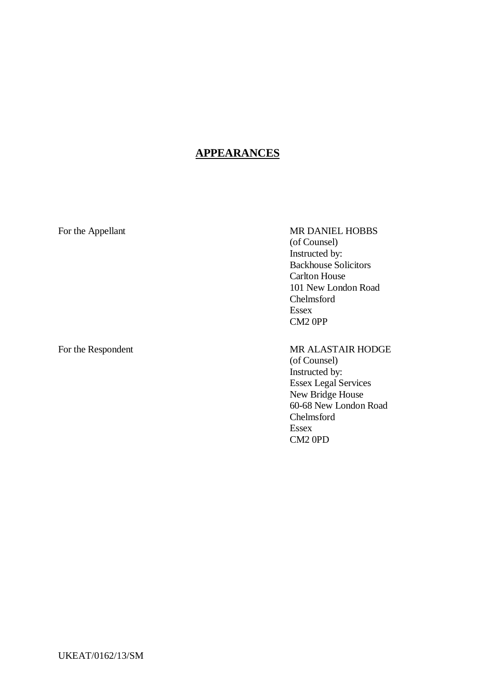# **APPEARANCES**

### For the Appellant MR DANIEL HOBBS (of Counsel) Instructed by: Backhouse Solicitors Carlton House 101 New London Road Chelmsford Essex CM2 0PP

For the Respondent MR ALASTAIR HODGE (of Counsel) Instructed by: Essex Legal Services New Bridge House 60-68 New London Road Chelmsford Essex CM2 0PD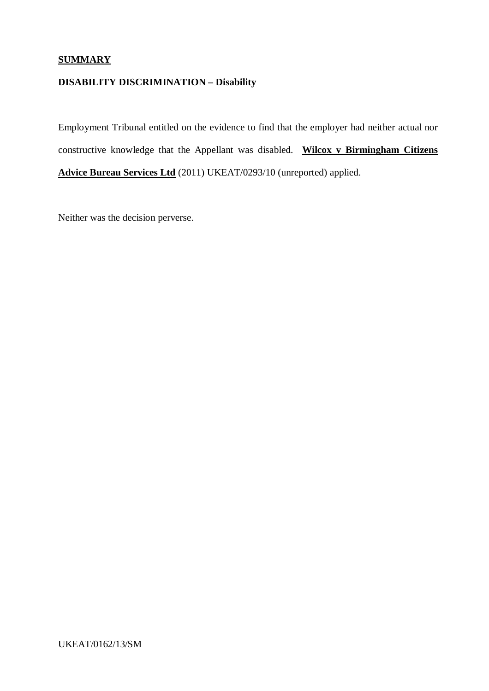# **SUMMARY**

# **DISABILITY DISCRIMINATION – Disability**

Employment Tribunal entitled on the evidence to find that the employer had neither actual nor constructive knowledge that the Appellant was disabled. **Wilcox v Birmingham Citizens Advice Bureau Services Ltd** (2011) UKEAT/0293/10 (unreported) applied.

Neither was the decision perverse.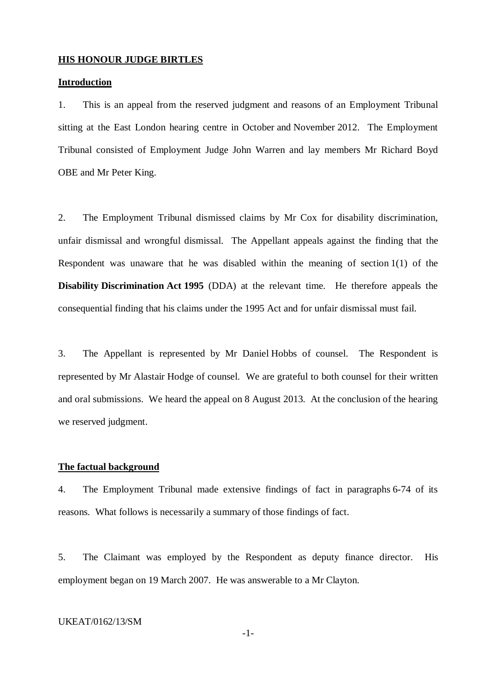#### **HIS HONOUR JUDGE BIRTLES**

#### **Introduction**

1. This is an appeal from the reserved judgment and reasons of an Employment Tribunal sitting at the East London hearing centre in October and November 2012. The Employment Tribunal consisted of Employment Judge John Warren and lay members Mr Richard Boyd OBE and Mr Peter King.

2. The Employment Tribunal dismissed claims by Mr Cox for disability discrimination, unfair dismissal and wrongful dismissal. The Appellant appeals against the finding that the Respondent was unaware that he was disabled within the meaning of section 1(1) of the **Disability Discrimination Act 1995** (DDA) at the relevant time. He therefore appeals the consequential finding that his claims under the 1995 Act and for unfair dismissal must fail.

3. The Appellant is represented by Mr Daniel Hobbs of counsel. The Respondent is represented by Mr Alastair Hodge of counsel. We are grateful to both counsel for their written and oral submissions. We heard the appeal on 8 August 2013. At the conclusion of the hearing we reserved judgment.

#### **The factual background**

4. The Employment Tribunal made extensive findings of fact in paragraphs 6-74 of its reasons. What follows is necessarily a summary of those findings of fact.

5. The Claimant was employed by the Respondent as deputy finance director. His employment began on 19 March 2007. He was answerable to a Mr Clayton.

#### UKEAT/0162/13/SM

-1-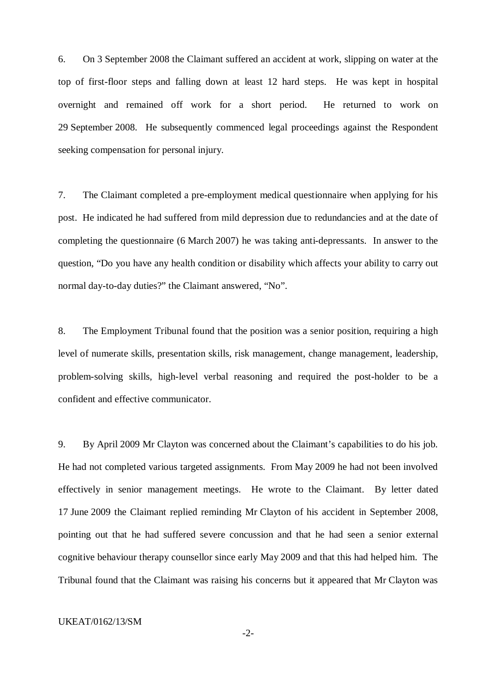6. On 3 September 2008 the Claimant suffered an accident at work, slipping on water at the top of first-floor steps and falling down at least 12 hard steps. He was kept in hospital overnight and remained off work for a short period. He returned to work on 29 September 2008. He subsequently commenced legal proceedings against the Respondent seeking compensation for personal injury.

7. The Claimant completed a pre-employment medical questionnaire when applying for his post. He indicated he had suffered from mild depression due to redundancies and at the date of completing the questionnaire (6 March 2007) he was taking anti-depressants. In answer to the question, "Do you have any health condition or disability which affects your ability to carry out normal day-to-day duties?" the Claimant answered, "No".

8. The Employment Tribunal found that the position was a senior position, requiring a high level of numerate skills, presentation skills, risk management, change management, leadership, problem-solving skills, high-level verbal reasoning and required the post-holder to be a confident and effective communicator.

9. By April 2009 Mr Clayton was concerned about the Claimant's capabilities to do his job. He had not completed various targeted assignments. From May 2009 he had not been involved effectively in senior management meetings. He wrote to the Claimant. By letter dated 17 June 2009 the Claimant replied reminding Mr Clayton of his accident in September 2008, pointing out that he had suffered severe concussion and that he had seen a senior external cognitive behaviour therapy counsellor since early May 2009 and that this had helped him. The Tribunal found that the Claimant was raising his concerns but it appeared that Mr Clayton was

#### UKEAT/0162/13/SM

-2-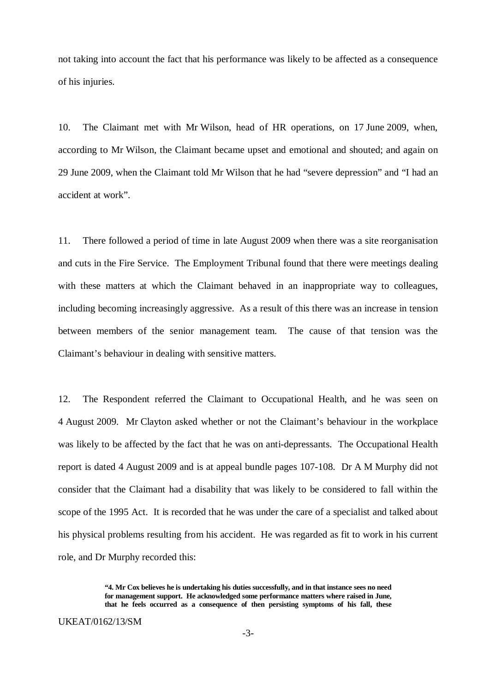not taking into account the fact that his performance was likely to be affected as a consequence of his injuries.

10. The Claimant met with Mr Wilson, head of HR operations, on 17 June 2009, when, according to Mr Wilson, the Claimant became upset and emotional and shouted; and again on 29 June 2009, when the Claimant told Mr Wilson that he had "severe depression" and "I had an accident at work".

11. There followed a period of time in late August 2009 when there was a site reorganisation and cuts in the Fire Service. The Employment Tribunal found that there were meetings dealing with these matters at which the Claimant behaved in an inappropriate way to colleagues, including becoming increasingly aggressive. As a result of this there was an increase in tension between members of the senior management team. The cause of that tension was the Claimant's behaviour in dealing with sensitive matters.

12. The Respondent referred the Claimant to Occupational Health, and he was seen on 4 August 2009. Mr Clayton asked whether or not the Claimant's behaviour in the workplace was likely to be affected by the fact that he was on anti-depressants. The Occupational Health report is dated 4 August 2009 and is at appeal bundle pages 107-108. Dr A M Murphy did not consider that the Claimant had a disability that was likely to be considered to fall within the scope of the 1995 Act. It is recorded that he was under the care of a specialist and talked about his physical problems resulting from his accident. He was regarded as fit to work in his current role, and Dr Murphy recorded this:

**<sup>&</sup>quot;4. Mr Cox believes he is undertaking his duties successfully, and in that instance sees no need for management support. He acknowledged some performance matters where raised in June, that he feels occurred as a consequence of then persisting symptoms of his fall, these**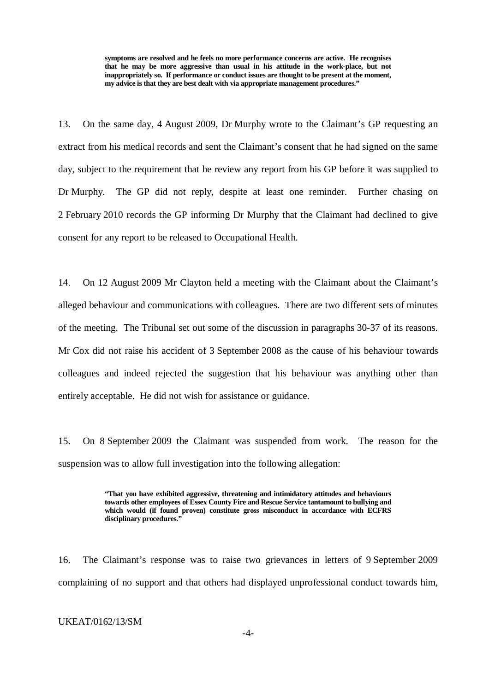**symptoms are resolved and he feels no more performance concerns are active. He recognises that he may be more aggressive than usual in his attitude in the work-place, but not inappropriately so. If performance or conduct issues are thought to be present at the moment, my advice is that they are best dealt with via appropriate management procedures."**

13. On the same day, 4 August 2009, Dr Murphy wrote to the Claimant's GP requesting an extract from his medical records and sent the Claimant's consent that he had signed on the same day, subject to the requirement that he review any report from his GP before it was supplied to Dr Murphy. The GP did not reply, despite at least one reminder. Further chasing on 2 February 2010 records the GP informing Dr Murphy that the Claimant had declined to give consent for any report to be released to Occupational Health.

14. On 12 August 2009 Mr Clayton held a meeting with the Claimant about the Claimant's alleged behaviour and communications with colleagues. There are two different sets of minutes of the meeting. The Tribunal set out some of the discussion in paragraphs 30-37 of its reasons. Mr Cox did not raise his accident of 3 September 2008 as the cause of his behaviour towards colleagues and indeed rejected the suggestion that his behaviour was anything other than entirely acceptable. He did not wish for assistance or guidance.

15. On 8 September 2009 the Claimant was suspended from work. The reason for the suspension was to allow full investigation into the following allegation:

> **"That you have exhibited aggressive, threatening and intimidatory attitudes and behaviours towards other employees of Essex County Fire and Rescue Service tantamount to bullying and which would (if found proven) constitute gross misconduct in accordance with ECFRS disciplinary procedures."**

16. The Claimant's response was to raise two grievances in letters of 9 September 2009 complaining of no support and that others had displayed unprofessional conduct towards him,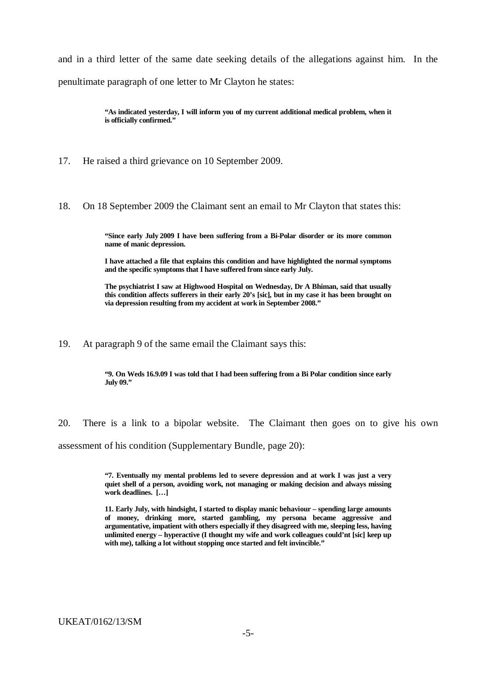and in a third letter of the same date seeking details of the allegations against him. In the penultimate paragraph of one letter to Mr Clayton he states:

> **"As indicated yesterday, I will inform you of my current additional medical problem, when it is officially confirmed."**

17. He raised a third grievance on 10 September 2009.

18. On 18 September 2009 the Claimant sent an email to Mr Clayton that states this:

**"Since early July 2009 I have been suffering from a Bi-Polar disorder or its more common name of manic depression.**

**I have attached a file that explains this condition and have highlighted the normal symptoms and the specific symptoms that I have suffered from since early July.**

**The psychiatrist I saw at Highwood Hospital on Wednesday, Dr A Bhiman, said that usually this condition affects sufferers in their early 20's [sic], but in my case it has been brought on via depression resulting from my accident at work in September 2008."**

19. At paragraph 9 of the same email the Claimant says this:

**"9. On Weds 16.9.09 I was told that I had been suffering from a Bi Polar condition since early July 09."**

20. There is a link to a bipolar website. The Claimant then goes on to give his own assessment of his condition (Supplementary Bundle, page 20):

> **"7. Eventually my mental problems led to severe depression and at work I was just a very quiet shell of a person, avoiding work, not managing or making decision and always missing work deadlines. […]**

> **11. Early July, with hindsight, I started to display manic behaviour – spending large amounts of money, drinking more, started gambling, my persona became aggressive and argumentative, impatient with others especially if they disagreed with me, sleeping less, having unlimited energy – hyperactive (I thought my wife and work colleagues could'nt [sic] keep up with me), talking a lot without stopping once started and felt invincible."**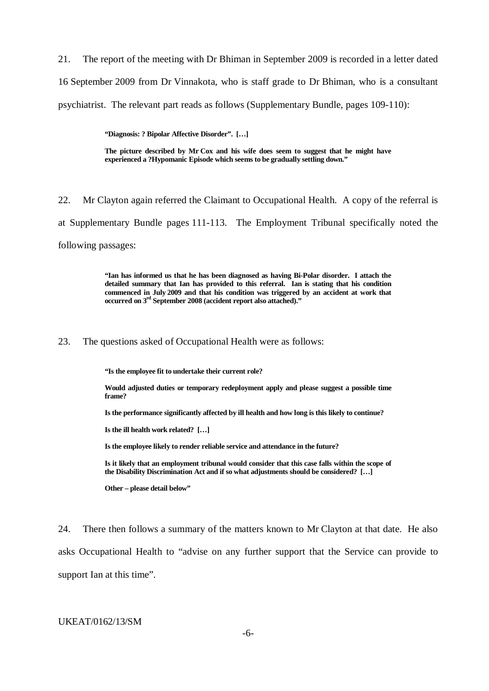21. The report of the meeting with Dr Bhiman in September 2009 is recorded in a letter dated 16 September 2009 from Dr Vinnakota, who is staff grade to Dr Bhiman, who is a consultant psychiatrist. The relevant part reads as follows (Supplementary Bundle, pages 109-110):

**"Diagnosis: ? Bipolar Affective Disorder". […]**

**The picture described by Mr Cox and his wife does seem to suggest that he might have experienced a ?Hypomanic Episode which seems to be gradually settling down."**

22. Mr Clayton again referred the Claimant to Occupational Health. A copy of the referral is at Supplementary Bundle pages 111-113. The Employment Tribunal specifically noted the following passages:

> **"Ian has informed us that he has been diagnosed as having Bi-Polar disorder. I attach the detailed summary that Ian has provided to this referral. Ian is stating that his condition commenced in July 2009 and that his condition was triggered by an accident at work that occurred on 3rd September 2008 (accident report also attached)."**

#### 23. The questions asked of Occupational Health were as follows:

**"Is the employee fit to undertake their current role?**

**Would adjusted duties or temporary redeployment apply and please suggest a possible time frame?**

**Is the performance significantly affected by ill health and how long is this likely to continue?**

**Is the ill health work related? […]**

**Is the employee likely to render reliable service and attendance in the future?**

**Is it likely that an employment tribunal would consider that this case falls within the scope of the Disability Discrimination Act and if so what adjustments should be considered? […]**

**Other – please detail below"**

24. There then follows a summary of the matters known to Mr Clayton at that date. He also asks Occupational Health to "advise on any further support that the Service can provide to support Ian at this time".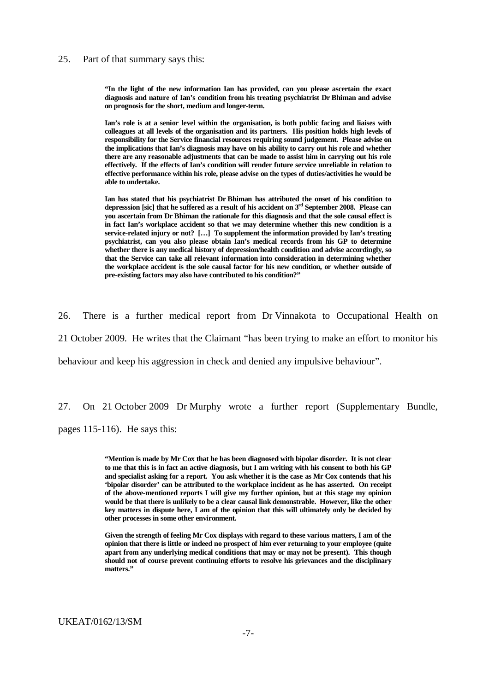#### 25. Part of that summary says this:

**"In the light of the new information Ian has provided, can you please ascertain the exact diagnosis and nature of Ian's condition from his treating psychiatrist Dr Bhiman and advise on prognosis for the short, medium and longer-term.**

**Ian's role is at a senior level within the organisation, is both public facing and liaises with colleagues at all levels of the organisation and its partners. His position holds high levels of responsibility for the Service financial resources requiring sound judgement. Please advise on the implications that Ian's diagnosis may have on his ability to carry out his role and whether there are any reasonable adjustments that can be made to assist him in carrying out his role effectively. If the effects of Ian's condition will render future service unreliable in relation to effective performance within his role, please advise on the types of duties/activities he would be able to undertake.**

**Ian has stated that his psychiatrist Dr Bhiman has attributed the onset of his condition to depresssion [sic] that he suffered as a result of his accident on 3rd September 2008. Please can you ascertain from Dr Bhiman the rationale for this diagnosis and that the sole causal effect is in fact Ian's workplace accident so that we may determine whether this new condition is a service-related injury or not? […] To supplement the information provided by Ian's treating psychiatrist, can you also please obtain Ian's medical records from his GP to determine whether there is any medical history of depression/health condition and advise accordingly, so that the Service can take all relevant information into consideration in determining whether the workplace accident is the sole causal factor for his new condition, or whether outside of pre-existing factors may also have contributed to his condition?"**

26. There is a further medical report from Dr Vinnakota to Occupational Health on

21 October 2009. He writes that the Claimant "has been trying to make an effort to monitor his

behaviour and keep his aggression in check and denied any impulsive behaviour".

27. On 21 October 2009 Dr Murphy wrote a further report (Supplementary Bundle,

pages 115-116). He says this:

**"Mention is made by Mr Cox that he has been diagnosed with bipolar disorder. It is not clear to me that this is in fact an active diagnosis, but I am writing with his consent to both his GP and specialist asking for a report. You ask whether it is the case as Mr Cox contends that his 'bipolar disorder' can be attributed to the workplace incident as he has asserted. On receipt of the above-mentioned reports I will give my further opinion, but at this stage my opinion would be that there is unlikely to be a clear causal link demonstrable. However, like the other key matters in dispute here, I am of the opinion that this will ultimately only be decided by other processes in some other environment.**

**Given the strength of feeling Mr Cox displays with regard to these various matters, I am of the opinion that there is little or indeed no prospect of him ever returning to your employee (quite apart from any underlying medical conditions that may or may not be present). This though should not of course prevent continuing efforts to resolve his grievances and the disciplinary matters."**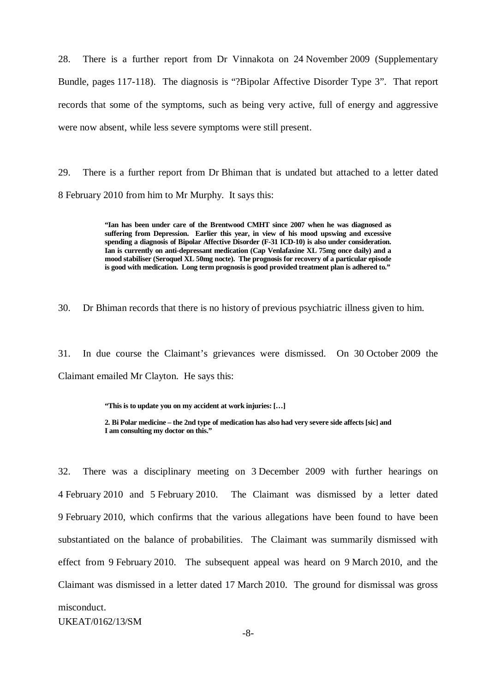28. There is a further report from Dr Vinnakota on 24 November 2009 (Supplementary Bundle, pages 117-118). The diagnosis is "?Bipolar Affective Disorder Type 3". That report records that some of the symptoms, such as being very active, full of energy and aggressive were now absent, while less severe symptoms were still present.

29. There is a further report from Dr Bhiman that is undated but attached to a letter dated 8 February 2010 from him to Mr Murphy. It says this:

> **"Ian has been under care of the Brentwood CMHT since 2007 when he was diagnosed as suffering from Depression. Earlier this year, in view of his mood upswing and excessive spending a diagnosis of Bipolar Affective Disorder (F-31 ICD-10) is also under consideration. Ian is currently on anti-depressant medication (Cap Venlafaxine XL 75mg once daily) and a mood stabiliser (Seroquel XL 50mg nocte). The prognosis for recovery of a particular episode is good with medication. Long term prognosis is good provided treatment plan is adhered to."**

30. Dr Bhiman records that there is no history of previous psychiatric illness given to him.

31. In due course the Claimant's grievances were dismissed. On 30 October 2009 the Claimant emailed Mr Clayton. He says this:

**"This is to update you on my accident at work injuries: […]**

**2. Bi Polar medicine – the 2nd type of medication has also had very severe side affects [sic] and I am consulting my doctor on this."**

UKEAT/0162/13/SM 32. There was a disciplinary meeting on 3 December 2009 with further hearings on 4 February 2010 and 5 February 2010. The Claimant was dismissed by a letter dated 9 February 2010, which confirms that the various allegations have been found to have been substantiated on the balance of probabilities. The Claimant was summarily dismissed with effect from 9 February 2010. The subsequent appeal was heard on 9 March 2010, and the Claimant was dismissed in a letter dated 17 March 2010. The ground for dismissal was gross misconduct.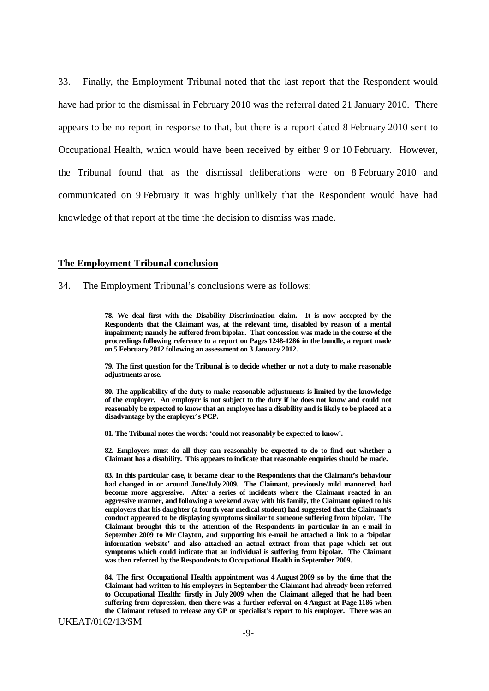33. Finally, the Employment Tribunal noted that the last report that the Respondent would have had prior to the dismissal in February 2010 was the referral dated 21 January 2010. There appears to be no report in response to that, but there is a report dated 8 February 2010 sent to Occupational Health, which would have been received by either 9 or 10 February. However, the Tribunal found that as the dismissal deliberations were on 8 February 2010 and communicated on 9 February it was highly unlikely that the Respondent would have had knowledge of that report at the time the decision to dismiss was made.

#### **The Employment Tribunal conclusion**

34. The Employment Tribunal's conclusions were as follows:

**78. We deal first with the Disability Discrimination claim. It is now accepted by the Respondents that the Claimant was, at the relevant time, disabled by reason of a mental impairment; namely he suffered from bipolar. That concession was made in the course of the proceedings following reference to a report on Pages 1248-1286 in the bundle, a report made on 5 February 2012 following an assessment on 3 January 2012.**

**79. The first question for the Tribunal is to decide whether or not a duty to make reasonable adjustments arose.**

**80. The applicability of the duty to make reasonable adjustments is limited by the knowledge of the employer. An employer is not subject to the duty if he does not know and could not reasonably be expected to know that an employee has a disability and is likely to be placed at a disadvantage by the employer's PCP.**

**81. The Tribunal notes the words: 'could not reasonably be expected to know'.**

**82. Employers must do all they can reasonably be expected to do to find out whether a Claimant has a disability. This appears to indicate that reasonable enquiries should be made.**

**83. In this particular case, it became clear to the Respondents that the Claimant's behaviour had changed in or around June/July 2009. The Claimant, previously mild mannered, had become more aggressive. After a series of incidents where the Claimant reacted in an aggressive manner, and following a weekend away with his family, the Claimant opined to his employers that his daughter (a fourth year medical student) had suggested that the Claimant's conduct appeared to be displaying symptoms similar to someone suffering from bipolar. The Claimant brought this to the attention of the Respondents in particular in an e-mail in September 2009 to Mr Clayton, and supporting his e-mail he attached a link to a 'bipolar information website' and also attached an actual extract from that page which set out symptoms which could indicate that an individual is suffering from bipolar. The Claimant was then referred by the Respondents to Occupational Health in September 2009.**

**84. The first Occupational Health appointment was 4 August 2009 so by the time that the Claimant had written to his employers in September the Claimant had already been referred to Occupational Health: firstly in July 2009 when the Claimant alleged that he had been suffering from depression, then there was a further referral on 4 August at Page 1186 when the Claimant refused to release any GP or specialist's report to his employer. There was an**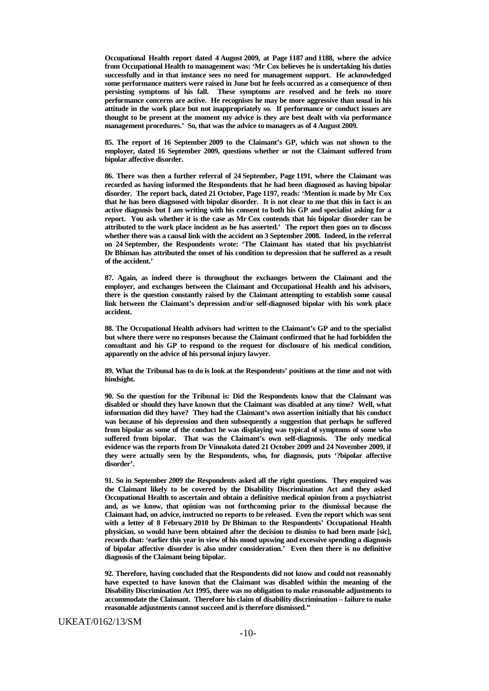**Occupational Health report dated 4 August 2009, at Page 1187 and 1188, where the advice from Occupational Health to management was: 'Mr Cox believes he is undertaking his duties successfully and in that instance sees no need for management support. He acknowledged some performance matters were raised in June but he feels occurred as a consequence of then persisting symptoms of his fall. These symptoms are resolved and he feels no more performance concerns are active. He recognises he may be more aggressive than usual in his attitude in the work place but not inappropriately so. If performance or conduct issues are thought to be present at the moment my advice is they are best dealt with via performance management procedures.' So, that was the advice to managers as of 4 August 2009.**

**85. The report of 16 September 2009 to the Claimant's GP, which was not shown to the employer, dated 16 September 2009, questions whether or not the Claimant suffered from bipolar affective disorder.**

**86. There was then a further referral of 24 September, Page 1191, where the Claimant was recorded as having informed the Respondents that he had been diagnosed as having bipolar disorder. The report back, dated 21 October, Page 1197, reads: 'Mention is made by Mr Cox that he has been diagnosed with bipolar disorder. It is not clear to me that this in fact is an active diagnosis but I am writing with his consent to both his GP and specialist asking for a report. You ask whether it is the case as Mr Cox contends that his bipolar disorder can be attributed to the work place incident as he has asserted.' The report then goes on to discuss whether there was a causal link with the accident on 3 September 2008. Indeed, in the referral on 24 September, the Respondents wrote: 'The Claimant has stated that his psychiatrist Dr Bhiman has attributed the onset of his condition to depression that he suffered as a result of the accident.'**

**87. Again, as indeed there is throughout the exchanges between the Claimant and the employer, and exchanges between the Claimant and Occupational Health and his advisors, there is the question constantly raised by the Claimant attempting to establish some causal link between the Claimant's depression and/or self-diagnosed bipolar with his work place accident.**

**88. The Occupational Health advisors had written to the Claimant's GP and to the specialist but where there were no responses because the Claimant confirmed that he had forbidden the consultant and his GP to respond to the request for disclosure of his medical condition, apparently on the advice of his personal injury lawyer.**

**89. What the Tribunal has to do is look at the Respondents' positions at the time and not with hindsight.**

**90. So the question for the Tribunal is: Did the Respondents know that the Claimant was disabled or should they have known that the Claimant was disabled at any time? Well, what information did they have? They had the Claimant's own assertion initially that his conduct was because of his depression and then subsequently a suggestion that perhaps he suffered from bipolar as some of the conduct he was displaying was typical of symptoms of some who suffered from bipolar. That was the Claimant's own self-diagnosis. The only medical evidence was the reports from Dr Vinnakota dated 21 October 2009 and 24 November 2009, if they were actually seen by the Respondents, who, for diagnosis, puts '?bipolar affective disorder'.**

**91. So in September 2009 the Respondents asked all the right questions. They enquired was the Claimant likely to be covered by the Disability Discrimination Act and they asked Occupational Health to ascertain and obtain a definitive medical opinion from a psychiatrist and, as we know, that opinion was not forthcoming prior to the dismissal because the Claimant had, on advice, instructed no reports to be released. Even the report which was sent with a letter of 8 February 2010 by Dr Bhiman to the Respondents' Occupational Health physician, so would have been obtained after the decision to dismiss to had been made [sic], records that: 'earlier this year in view of his mood upswing and excessive spending a diagnosis of bipolar affective disorder is also under consideration.' Even then there is no definitive diagnosis of the Claimant being bipolar.**

**92. Therefore, having concluded that the Respondents did not know and could not reasonably have expected to have known that the Claimant was disabled within the meaning of the Disability Discrimination Act 1995, there was no obligation to make reasonable adjustments to accommodate the Claimant. Therefore his claim of disability discrimination – failure to make reasonable adjustments cannot succeed and is therefore dismissed."**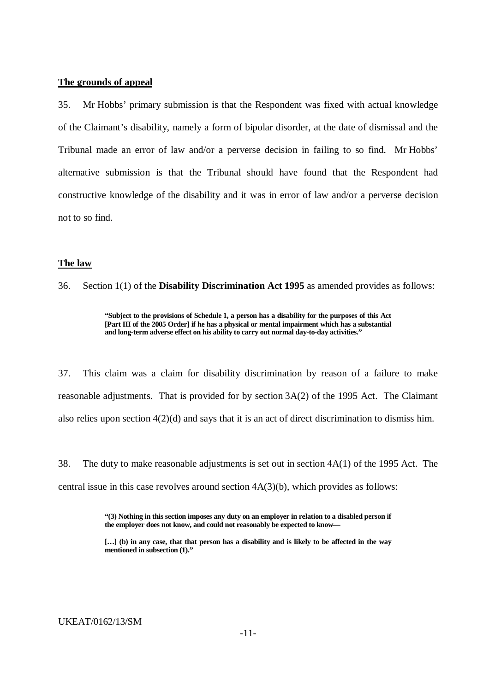#### **The grounds of appeal**

35. Mr Hobbs' primary submission is that the Respondent was fixed with actual knowledge of the Claimant's disability, namely a form of bipolar disorder, at the date of dismissal and the Tribunal made an error of law and/or a perverse decision in failing to so find. Mr Hobbs' alternative submission is that the Tribunal should have found that the Respondent had constructive knowledge of the disability and it was in error of law and/or a perverse decision not to so find.

#### **The law**

36. Section 1(1) of the **Disability Discrimination Act 1995** as amended provides as follows:

**"Subject to the provisions of Schedule 1, a person has a disability for the purposes of this Act [Part III of the 2005 Order] if he has a physical or mental impairment which has a substantial and long-term adverse effect on his ability to carry out normal day-to-day activities."**

37. This claim was a claim for disability discrimination by reason of a failure to make reasonable adjustments. That is provided for by section 3A(2) of the 1995 Act. The Claimant also relies upon section 4(2)(d) and says that it is an act of direct discrimination to dismiss him.

38. The duty to make reasonable adjustments is set out in section 4A(1) of the 1995 Act. The central issue in this case revolves around section 4A(3)(b), which provides as follows:

> **"(3) Nothing in this section imposes any duty on an employer in relation to a disabled person if the employer does not know, and could not reasonably be expected to know—**

> **[…] (b) in any case, that that person has a disability and is likely to be affected in the way mentioned in subsection (1)."**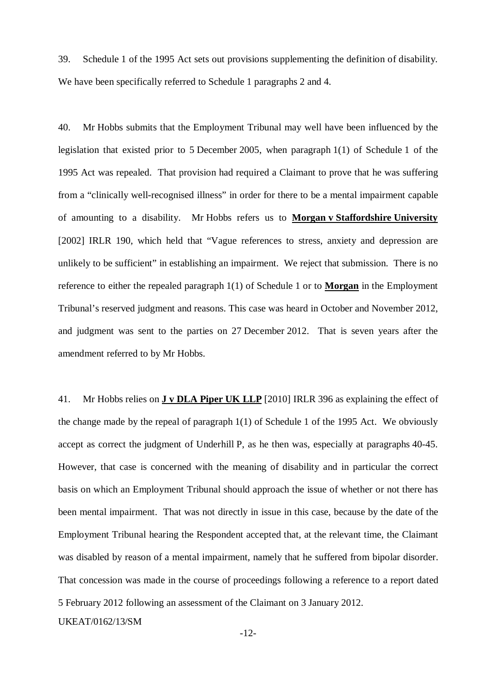39. Schedule 1 of the 1995 Act sets out provisions supplementing the definition of disability. We have been specifically referred to Schedule 1 paragraphs 2 and 4.

40. Mr Hobbs submits that the Employment Tribunal may well have been influenced by the legislation that existed prior to 5 December 2005, when paragraph 1(1) of Schedule 1 of the 1995 Act was repealed. That provision had required a Claimant to prove that he was suffering from a "clinically well-recognised illness" in order for there to be a mental impairment capable of amounting to a disability. Mr Hobbs refers us to **Morgan v Staffordshire University** [2002] IRLR 190, which held that "Vague references to stress, anxiety and depression are unlikely to be sufficient" in establishing an impairment. We reject that submission. There is no reference to either the repealed paragraph 1(1) of Schedule 1 or to **Morgan** in the Employment Tribunal's reserved judgment and reasons. This case was heard in October and November 2012, and judgment was sent to the parties on 27 December 2012. That is seven years after the amendment referred to by Mr Hobbs.

UKEAT/0162/13/SM 41. Mr Hobbs relies on **J v DLA Piper UK LLP** [2010] IRLR 396 as explaining the effect of the change made by the repeal of paragraph 1(1) of Schedule 1 of the 1995 Act. We obviously accept as correct the judgment of Underhill P, as he then was, especially at paragraphs 40-45. However, that case is concerned with the meaning of disability and in particular the correct basis on which an Employment Tribunal should approach the issue of whether or not there has been mental impairment. That was not directly in issue in this case, because by the date of the Employment Tribunal hearing the Respondent accepted that, at the relevant time, the Claimant was disabled by reason of a mental impairment, namely that he suffered from bipolar disorder. That concession was made in the course of proceedings following a reference to a report dated 5 February 2012 following an assessment of the Claimant on 3 January 2012.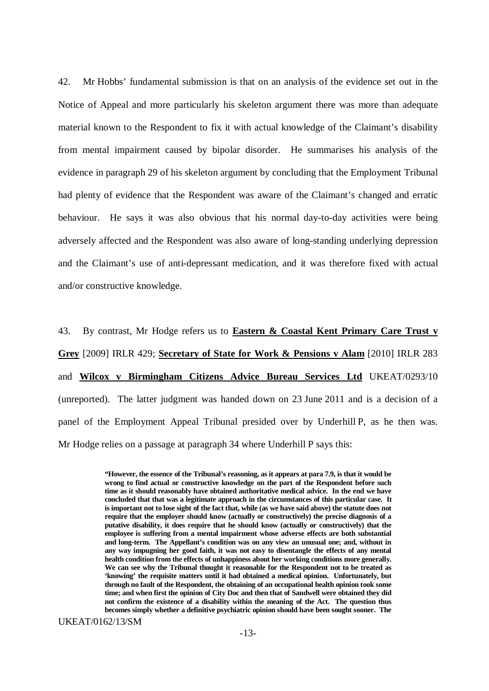42. Mr Hobbs' fundamental submission is that on an analysis of the evidence set out in the Notice of Appeal and more particularly his skeleton argument there was more than adequate material known to the Respondent to fix it with actual knowledge of the Claimant's disability from mental impairment caused by bipolar disorder. He summarises his analysis of the evidence in paragraph 29 of his skeleton argument by concluding that the Employment Tribunal had plenty of evidence that the Respondent was aware of the Claimant's changed and erratic behaviour. He says it was also obvious that his normal day-to-day activities were being adversely affected and the Respondent was also aware of long-standing underlying depression and the Claimant's use of anti-depressant medication, and it was therefore fixed with actual and/or constructive knowledge.

43. By contrast, Mr Hodge refers us to **Eastern & Coastal Kent Primary Care Trust v Grey** [2009] IRLR 429; **Secretary of State for Work & Pensions v Alam** [2010] IRLR 283 and **Wilcox v Birmingham Citizens Advice Bureau Services Ltd** UKEAT/0293/10 (unreported). The latter judgment was handed down on 23 June 2011 and is a decision of a panel of the Employment Appeal Tribunal presided over by Underhill P, as he then was. Mr Hodge relies on a passage at paragraph 34 where Underhill P says this:

> **"However, the essence of the Tribunal's reasoning, as it appears at para 7.9, is that it would be wrong to find actual or constructive knowledge on the part of the Respondent before such time as it should reasonably have obtained authoritative medical advice. In the end we have concluded that that was a legitimate approach in the circumstances of this particular case. It is important not to lose sight of the fact that, while (as we have said above) the statute does not require that the employer should know (actually or constructively) the precise diagnosis of a putative disability, it does require that he should know (actually or constructively) that the employee is suffering from a mental impairment whose adverse effects are both substantial and long-term. The Appellant's condition was on any view an unusual one; and, without in any way impugning her good faith, it was not easy to disentangle the effects of any mental health condition from the effects of unhappiness about her working conditions more generally. We can see why the Tribunal thought it reasonable for the Respondent not to be treated as 'knowing' the requisite matters until it had obtained a medical opinion. Unfortunately, but through no fault of the Respondent, the obtaining of an occupational health opinion took some time; and when first the opinion of City Doc and then that of Sandwell were obtained they did not confirm the existence of a disability within the meaning of the Act. The question thus becomes simply whether a definitive psychiatric opinion should have been sought sooner. The**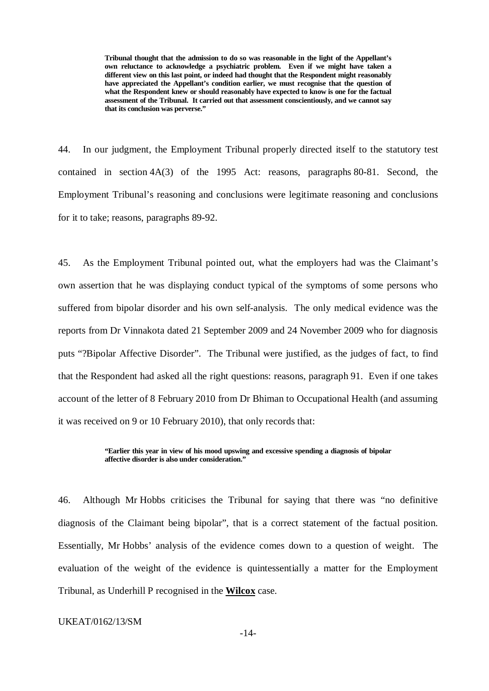**Tribunal thought that the admission to do so was reasonable in the light of the Appellant's own reluctance to acknowledge a psychiatric problem. Even if we might have taken a different view on this last point, or indeed had thought that the Respondent might reasonably have appreciated the Appellant's condition earlier, we must recognise that the question of what the Respondent knew or should reasonably have expected to know is one for the factual assessment of the Tribunal. It carried out that assessment conscientiously, and we cannot say that its conclusion was perverse."**

44. In our judgment, the Employment Tribunal properly directed itself to the statutory test contained in section 4A(3) of the 1995 Act: reasons, paragraphs 80-81. Second, the Employment Tribunal's reasoning and conclusions were legitimate reasoning and conclusions for it to take; reasons, paragraphs 89-92.

45. As the Employment Tribunal pointed out, what the employers had was the Claimant's own assertion that he was displaying conduct typical of the symptoms of some persons who suffered from bipolar disorder and his own self-analysis. The only medical evidence was the reports from Dr Vinnakota dated 21 September 2009 and 24 November 2009 who for diagnosis puts "?Bipolar Affective Disorder". The Tribunal were justified, as the judges of fact, to find that the Respondent had asked all the right questions: reasons, paragraph 91. Even if one takes account of the letter of 8 February 2010 from Dr Bhiman to Occupational Health (and assuming it was received on 9 or 10 February 2010), that only records that:

#### **"Earlier this year in view of his mood upswing and excessive spending a diagnosis of bipolar affective disorder is also under consideration."**

46. Although Mr Hobbs criticises the Tribunal for saying that there was "no definitive diagnosis of the Claimant being bipolar", that is a correct statement of the factual position. Essentially, Mr Hobbs' analysis of the evidence comes down to a question of weight. The evaluation of the weight of the evidence is quintessentially a matter for the Employment Tribunal, as Underhill P recognised in the **Wilcox** case.